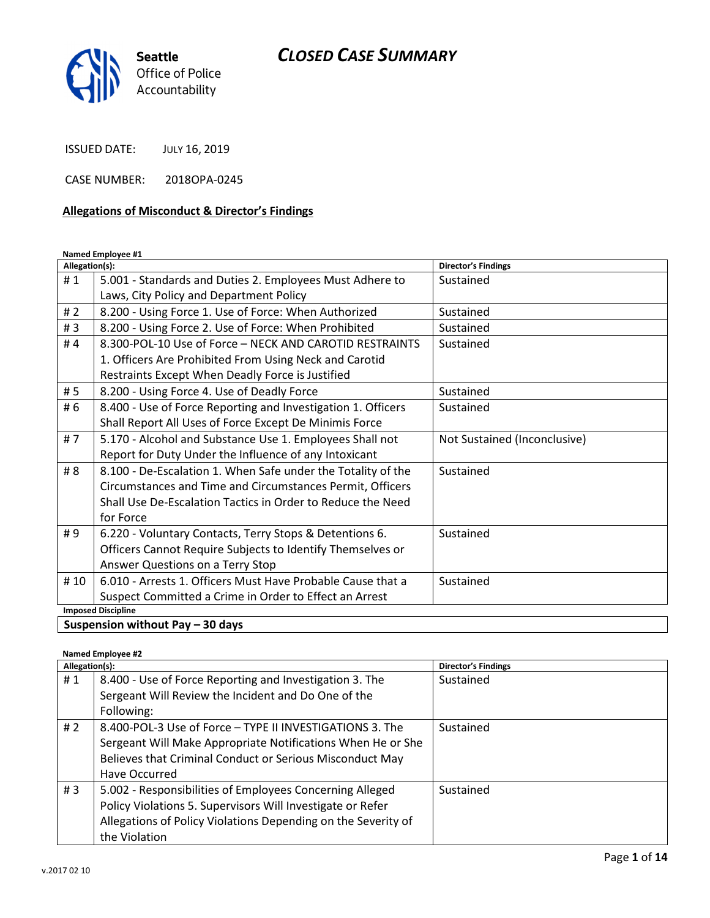

ISSUED DATE: JULY 16, 2019

CASE NUMBER: 2018OPA-0245

#### Allegations of Misconduct & Director's Findings

#### Named Employee #1

| Allegation(s):            |                                                              | <b>Director's Findings</b>   |  |  |
|---------------------------|--------------------------------------------------------------|------------------------------|--|--|
| #1                        | 5.001 - Standards and Duties 2. Employees Must Adhere to     | Sustained                    |  |  |
|                           | Laws, City Policy and Department Policy                      |                              |  |  |
| #2                        | 8.200 - Using Force 1. Use of Force: When Authorized         | Sustained                    |  |  |
| #3                        | 8.200 - Using Force 2. Use of Force: When Prohibited         | Sustained                    |  |  |
| #4                        | 8.300-POL-10 Use of Force - NECK AND CAROTID RESTRAINTS      | Sustained                    |  |  |
|                           | 1. Officers Are Prohibited From Using Neck and Carotid       |                              |  |  |
|                           | Restraints Except When Deadly Force is Justified             |                              |  |  |
| # 5                       | 8.200 - Using Force 4. Use of Deadly Force                   | Sustained                    |  |  |
| # 6                       | 8.400 - Use of Force Reporting and Investigation 1. Officers | Sustained                    |  |  |
|                           | Shall Report All Uses of Force Except De Minimis Force       |                              |  |  |
| #7                        | 5.170 - Alcohol and Substance Use 1. Employees Shall not     | Not Sustained (Inconclusive) |  |  |
|                           | Report for Duty Under the Influence of any Intoxicant        |                              |  |  |
| # 8                       | 8.100 - De-Escalation 1. When Safe under the Totality of the | Sustained                    |  |  |
|                           | Circumstances and Time and Circumstances Permit, Officers    |                              |  |  |
|                           | Shall Use De-Escalation Tactics in Order to Reduce the Need  |                              |  |  |
|                           | for Force                                                    |                              |  |  |
| #9                        | 6.220 - Voluntary Contacts, Terry Stops & Detentions 6.      | Sustained                    |  |  |
|                           | Officers Cannot Require Subjects to Identify Themselves or   |                              |  |  |
|                           | Answer Questions on a Terry Stop                             |                              |  |  |
| # 10                      | 6.010 - Arrests 1. Officers Must Have Probable Cause that a  | Sustained                    |  |  |
|                           | Suspect Committed a Crime in Order to Effect an Arrest       |                              |  |  |
| <b>Imposed Discipline</b> |                                                              |                              |  |  |

Suspension without Pay  $-$  30 days

#### Named Employee #2

| Allegation(s): |                                                               | <b>Director's Findings</b> |
|----------------|---------------------------------------------------------------|----------------------------|
| #1             | 8.400 - Use of Force Reporting and Investigation 3. The       | Sustained                  |
|                | Sergeant Will Review the Incident and Do One of the           |                            |
|                | Following:                                                    |                            |
| # 2            | 8.400-POL-3 Use of Force - TYPE II INVESTIGATIONS 3. The      | Sustained                  |
|                | Sergeant Will Make Appropriate Notifications When He or She   |                            |
|                | Believes that Criminal Conduct or Serious Misconduct May      |                            |
|                | Have Occurred                                                 |                            |
| # $3$          | 5.002 - Responsibilities of Employees Concerning Alleged      | Sustained                  |
|                | Policy Violations 5. Supervisors Will Investigate or Refer    |                            |
|                | Allegations of Policy Violations Depending on the Severity of |                            |
|                | the Violation                                                 |                            |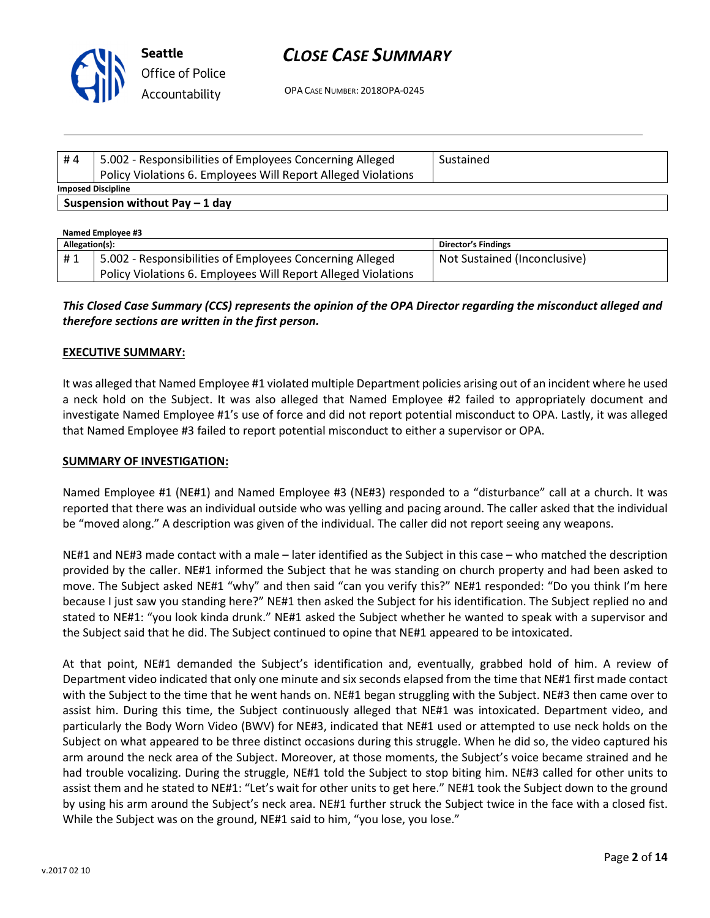

OPA CASE NUMBER: 2018OPA-0245

| #4                              | 5.002 - Responsibilities of Employees Concerning Alleged      | Sustained |  |  |  |
|---------------------------------|---------------------------------------------------------------|-----------|--|--|--|
|                                 | Policy Violations 6. Employees Will Report Alleged Violations |           |  |  |  |
| <b>Imposed Discipline</b>       |                                                               |           |  |  |  |
| Suspension without Pay $-1$ day |                                                               |           |  |  |  |
|                                 | Named Employee #3                                             |           |  |  |  |

| Allegation(s): |                                                               | <b>Director's Findings</b>   |  |  |
|----------------|---------------------------------------------------------------|------------------------------|--|--|
| #1             | 5.002 - Responsibilities of Employees Concerning Alleged      | Not Sustained (Inconclusive) |  |  |
|                | Policy Violations 6. Employees Will Report Alleged Violations |                              |  |  |

#### This Closed Case Summary (CCS) represents the opinion of the OPA Director regarding the misconduct alleged and therefore sections are written in the first person.

#### EXECUTIVE SUMMARY:

It was alleged that Named Employee #1 violated multiple Department policies arising out of an incident where he used a neck hold on the Subject. It was also alleged that Named Employee #2 failed to appropriately document and investigate Named Employee #1's use of force and did not report potential misconduct to OPA. Lastly, it was alleged that Named Employee #3 failed to report potential misconduct to either a supervisor or OPA.

#### SUMMARY OF INVESTIGATION:

Named Employee #1 (NE#1) and Named Employee #3 (NE#3) responded to a "disturbance" call at a church. It was reported that there was an individual outside who was yelling and pacing around. The caller asked that the individual be "moved along." A description was given of the individual. The caller did not report seeing any weapons.

NE#1 and NE#3 made contact with a male – later identified as the Subject in this case – who matched the description provided by the caller. NE#1 informed the Subject that he was standing on church property and had been asked to move. The Subject asked NE#1 "why" and then said "can you verify this?" NE#1 responded: "Do you think I'm here because I just saw you standing here?" NE#1 then asked the Subject for his identification. The Subject replied no and stated to NE#1: "you look kinda drunk." NE#1 asked the Subject whether he wanted to speak with a supervisor and the Subject said that he did. The Subject continued to opine that NE#1 appeared to be intoxicated.

At that point, NE#1 demanded the Subject's identification and, eventually, grabbed hold of him. A review of Department video indicated that only one minute and six seconds elapsed from the time that NE#1 first made contact with the Subject to the time that he went hands on. NE#1 began struggling with the Subject. NE#3 then came over to assist him. During this time, the Subject continuously alleged that NE#1 was intoxicated. Department video, and particularly the Body Worn Video (BWV) for NE#3, indicated that NE#1 used or attempted to use neck holds on the Subject on what appeared to be three distinct occasions during this struggle. When he did so, the video captured his arm around the neck area of the Subject. Moreover, at those moments, the Subject's voice became strained and he had trouble vocalizing. During the struggle, NE#1 told the Subject to stop biting him. NE#3 called for other units to assist them and he stated to NE#1: "Let's wait for other units to get here." NE#1 took the Subject down to the ground by using his arm around the Subject's neck area. NE#1 further struck the Subject twice in the face with a closed fist. While the Subject was on the ground, NE#1 said to him, "you lose, you lose."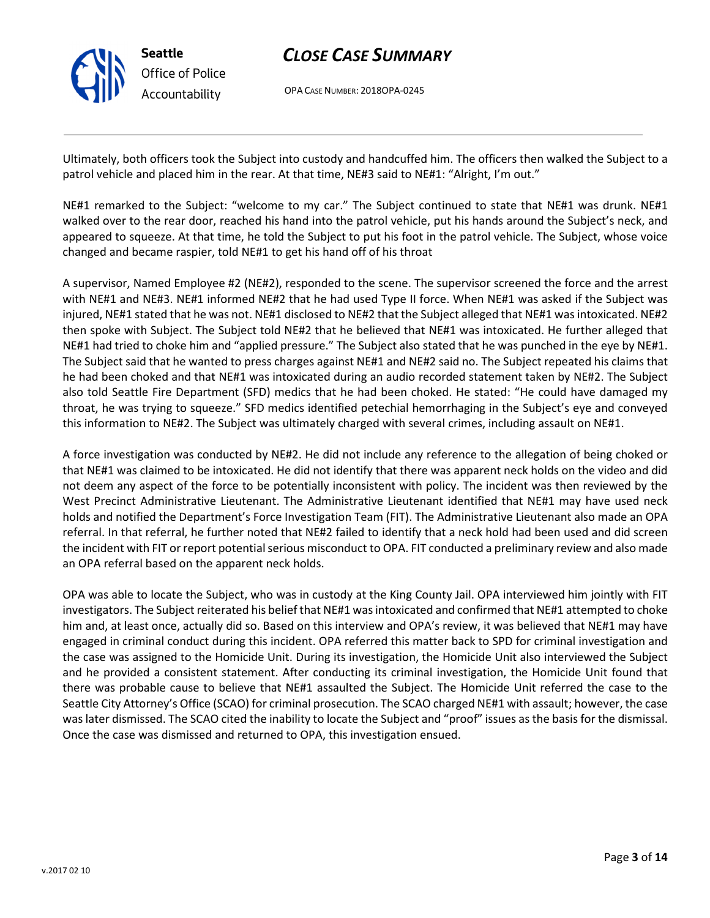

OPA CASE NUMBER: 2018OPA-0245

Ultimately, both officers took the Subject into custody and handcuffed him. The officers then walked the Subject to a patrol vehicle and placed him in the rear. At that time, NE#3 said to NE#1: "Alright, I'm out."

NE#1 remarked to the Subject: "welcome to my car." The Subject continued to state that NE#1 was drunk. NE#1 walked over to the rear door, reached his hand into the patrol vehicle, put his hands around the Subject's neck, and appeared to squeeze. At that time, he told the Subject to put his foot in the patrol vehicle. The Subject, whose voice changed and became raspier, told NE#1 to get his hand off of his throat

A supervisor, Named Employee #2 (NE#2), responded to the scene. The supervisor screened the force and the arrest with NE#1 and NE#3. NE#1 informed NE#2 that he had used Type II force. When NE#1 was asked if the Subject was injured, NE#1 stated that he was not. NE#1 disclosed to NE#2 that the Subject alleged that NE#1 was intoxicated. NE#2 then spoke with Subject. The Subject told NE#2 that he believed that NE#1 was intoxicated. He further alleged that NE#1 had tried to choke him and "applied pressure." The Subject also stated that he was punched in the eye by NE#1. The Subject said that he wanted to press charges against NE#1 and NE#2 said no. The Subject repeated his claims that he had been choked and that NE#1 was intoxicated during an audio recorded statement taken by NE#2. The Subject also told Seattle Fire Department (SFD) medics that he had been choked. He stated: "He could have damaged my throat, he was trying to squeeze." SFD medics identified petechial hemorrhaging in the Subject's eye and conveyed this information to NE#2. The Subject was ultimately charged with several crimes, including assault on NE#1.

A force investigation was conducted by NE#2. He did not include any reference to the allegation of being choked or that NE#1 was claimed to be intoxicated. He did not identify that there was apparent neck holds on the video and did not deem any aspect of the force to be potentially inconsistent with policy. The incident was then reviewed by the West Precinct Administrative Lieutenant. The Administrative Lieutenant identified that NE#1 may have used neck holds and notified the Department's Force Investigation Team (FIT). The Administrative Lieutenant also made an OPA referral. In that referral, he further noted that NE#2 failed to identify that a neck hold had been used and did screen the incident with FIT or report potential serious misconduct to OPA. FIT conducted a preliminary review and also made an OPA referral based on the apparent neck holds.

OPA was able to locate the Subject, who was in custody at the King County Jail. OPA interviewed him jointly with FIT investigators. The Subject reiterated his belief that NE#1 was intoxicated and confirmed that NE#1 attempted to choke him and, at least once, actually did so. Based on this interview and OPA's review, it was believed that NE#1 may have engaged in criminal conduct during this incident. OPA referred this matter back to SPD for criminal investigation and the case was assigned to the Homicide Unit. During its investigation, the Homicide Unit also interviewed the Subject and he provided a consistent statement. After conducting its criminal investigation, the Homicide Unit found that there was probable cause to believe that NE#1 assaulted the Subject. The Homicide Unit referred the case to the Seattle City Attorney's Office (SCAO) for criminal prosecution. The SCAO charged NE#1 with assault; however, the case was later dismissed. The SCAO cited the inability to locate the Subject and "proof" issues as the basis for the dismissal. Once the case was dismissed and returned to OPA, this investigation ensued.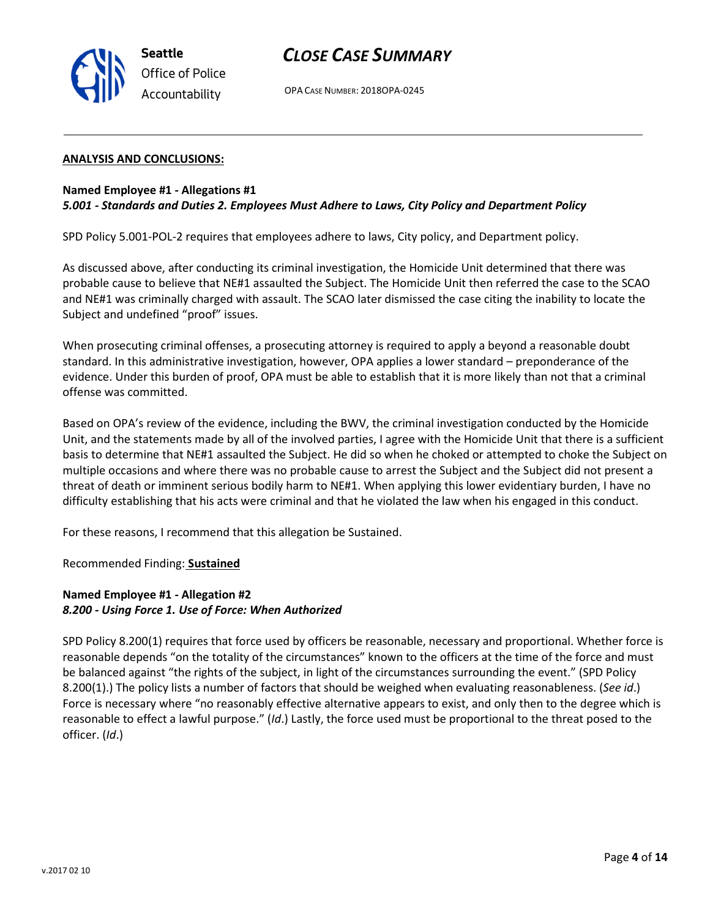

OPA CASE NUMBER: 2018OPA-0245

#### ANALYSIS AND CONCLUSIONS:

#### Named Employee #1 - Allegations #1 5.001 - Standards and Duties 2. Employees Must Adhere to Laws, City Policy and Department Policy

SPD Policy 5.001-POL-2 requires that employees adhere to laws, City policy, and Department policy.

As discussed above, after conducting its criminal investigation, the Homicide Unit determined that there was probable cause to believe that NE#1 assaulted the Subject. The Homicide Unit then referred the case to the SCAO and NE#1 was criminally charged with assault. The SCAO later dismissed the case citing the inability to locate the Subject and undefined "proof" issues.

When prosecuting criminal offenses, a prosecuting attorney is required to apply a beyond a reasonable doubt standard. In this administrative investigation, however, OPA applies a lower standard – preponderance of the evidence. Under this burden of proof, OPA must be able to establish that it is more likely than not that a criminal offense was committed.

Based on OPA's review of the evidence, including the BWV, the criminal investigation conducted by the Homicide Unit, and the statements made by all of the involved parties, I agree with the Homicide Unit that there is a sufficient basis to determine that NE#1 assaulted the Subject. He did so when he choked or attempted to choke the Subject on multiple occasions and where there was no probable cause to arrest the Subject and the Subject did not present a threat of death or imminent serious bodily harm to NE#1. When applying this lower evidentiary burden, I have no difficulty establishing that his acts were criminal and that he violated the law when his engaged in this conduct.

For these reasons, I recommend that this allegation be Sustained.

Recommended Finding: Sustained

#### Named Employee #1 - Allegation #2 8.200 - Using Force 1. Use of Force: When Authorized

SPD Policy 8.200(1) requires that force used by officers be reasonable, necessary and proportional. Whether force is reasonable depends "on the totality of the circumstances" known to the officers at the time of the force and must be balanced against "the rights of the subject, in light of the circumstances surrounding the event." (SPD Policy 8.200(1).) The policy lists a number of factors that should be weighed when evaluating reasonableness. (See id.) Force is necessary where "no reasonably effective alternative appears to exist, and only then to the degree which is reasonable to effect a lawful purpose." (Id.) Lastly, the force used must be proportional to the threat posed to the officer. (Id.)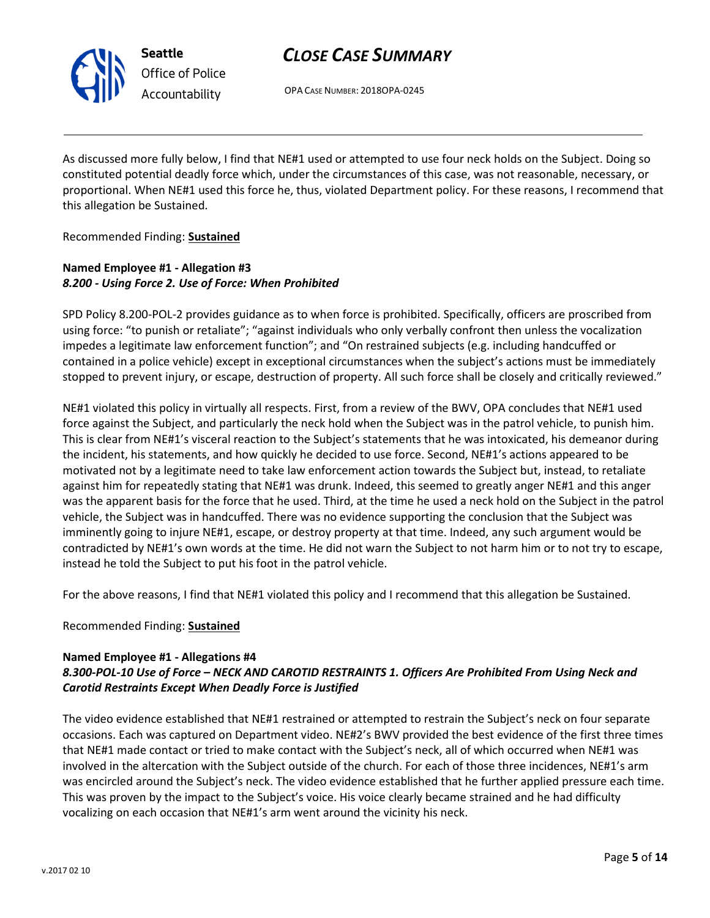

## CLOSE CASE SUMMARY

OPA CASE NUMBER: 2018OPA-0245

As discussed more fully below, I find that NE#1 used or attempted to use four neck holds on the Subject. Doing so constituted potential deadly force which, under the circumstances of this case, was not reasonable, necessary, or proportional. When NE#1 used this force he, thus, violated Department policy. For these reasons, I recommend that this allegation be Sustained.

Recommended Finding: Sustained

### Named Employee #1 - Allegation #3 8.200 - Using Force 2. Use of Force: When Prohibited

SPD Policy 8.200-POL-2 provides guidance as to when force is prohibited. Specifically, officers are proscribed from using force: "to punish or retaliate"; "against individuals who only verbally confront then unless the vocalization impedes a legitimate law enforcement function"; and "On restrained subjects (e.g. including handcuffed or contained in a police vehicle) except in exceptional circumstances when the subject's actions must be immediately stopped to prevent injury, or escape, destruction of property. All such force shall be closely and critically reviewed."

NE#1 violated this policy in virtually all respects. First, from a review of the BWV, OPA concludes that NE#1 used force against the Subject, and particularly the neck hold when the Subject was in the patrol vehicle, to punish him. This is clear from NE#1's visceral reaction to the Subject's statements that he was intoxicated, his demeanor during the incident, his statements, and how quickly he decided to use force. Second, NE#1's actions appeared to be motivated not by a legitimate need to take law enforcement action towards the Subject but, instead, to retaliate against him for repeatedly stating that NE#1 was drunk. Indeed, this seemed to greatly anger NE#1 and this anger was the apparent basis for the force that he used. Third, at the time he used a neck hold on the Subject in the patrol vehicle, the Subject was in handcuffed. There was no evidence supporting the conclusion that the Subject was imminently going to injure NE#1, escape, or destroy property at that time. Indeed, any such argument would be contradicted by NE#1's own words at the time. He did not warn the Subject to not harm him or to not try to escape, instead he told the Subject to put his foot in the patrol vehicle.

For the above reasons, I find that NE#1 violated this policy and I recommend that this allegation be Sustained.

#### Recommended Finding: Sustained

#### Named Employee #1 - Allegations #4

#### 8.300-POL-10 Use of Force – NECK AND CAROTID RESTRAINTS 1. Officers Are Prohibited From Using Neck and Carotid Restraints Except When Deadly Force is Justified

The video evidence established that NE#1 restrained or attempted to restrain the Subject's neck on four separate occasions. Each was captured on Department video. NE#2's BWV provided the best evidence of the first three times that NE#1 made contact or tried to make contact with the Subject's neck, all of which occurred when NE#1 was involved in the altercation with the Subject outside of the church. For each of those three incidences, NE#1's arm was encircled around the Subject's neck. The video evidence established that he further applied pressure each time. This was proven by the impact to the Subject's voice. His voice clearly became strained and he had difficulty vocalizing on each occasion that NE#1's arm went around the vicinity his neck.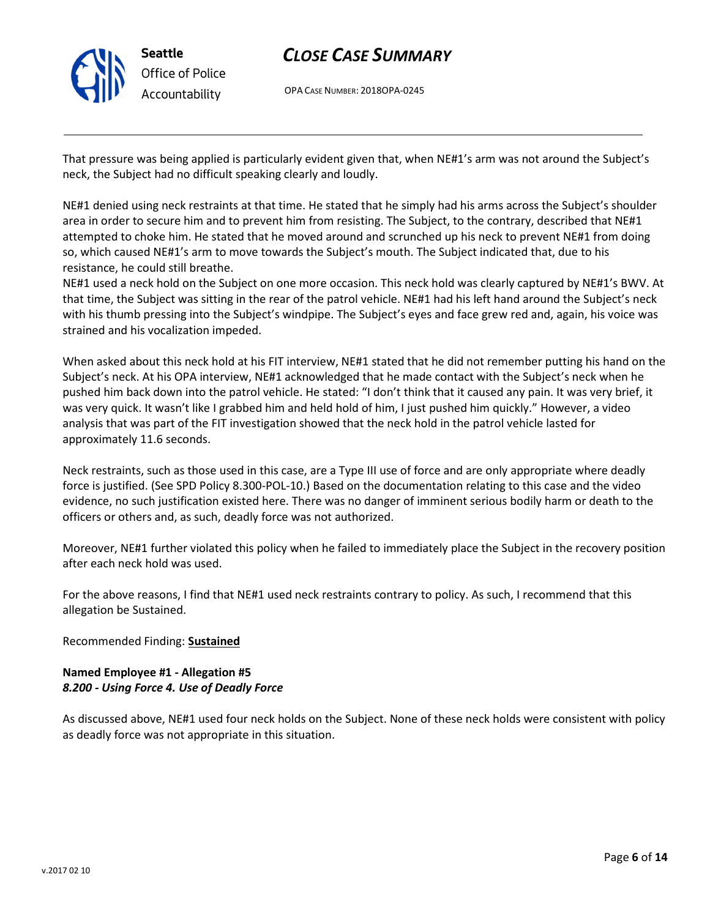

OPA CASE NUMBER: 2018OPA-0245

That pressure was being applied is particularly evident given that, when NE#1's arm was not around the Subject's neck, the Subject had no difficult speaking clearly and loudly.

NE#1 denied using neck restraints at that time. He stated that he simply had his arms across the Subject's shoulder area in order to secure him and to prevent him from resisting. The Subject, to the contrary, described that NE#1 attempted to choke him. He stated that he moved around and scrunched up his neck to prevent NE#1 from doing so, which caused NE#1's arm to move towards the Subject's mouth. The Subject indicated that, due to his resistance, he could still breathe.

NE#1 used a neck hold on the Subject on one more occasion. This neck hold was clearly captured by NE#1's BWV. At that time, the Subject was sitting in the rear of the patrol vehicle. NE#1 had his left hand around the Subject's neck with his thumb pressing into the Subject's windpipe. The Subject's eyes and face grew red and, again, his voice was strained and his vocalization impeded.

When asked about this neck hold at his FIT interview, NE#1 stated that he did not remember putting his hand on the Subject's neck. At his OPA interview, NE#1 acknowledged that he made contact with the Subject's neck when he pushed him back down into the patrol vehicle. He stated: "I don't think that it caused any pain. It was very brief, it was very quick. It wasn't like I grabbed him and held hold of him, I just pushed him quickly." However, a video analysis that was part of the FIT investigation showed that the neck hold in the patrol vehicle lasted for approximately 11.6 seconds.

Neck restraints, such as those used in this case, are a Type III use of force and are only appropriate where deadly force is justified. (See SPD Policy 8.300-POL-10.) Based on the documentation relating to this case and the video evidence, no such justification existed here. There was no danger of imminent serious bodily harm or death to the officers or others and, as such, deadly force was not authorized.

Moreover, NE#1 further violated this policy when he failed to immediately place the Subject in the recovery position after each neck hold was used.

For the above reasons, I find that NE#1 used neck restraints contrary to policy. As such, I recommend that this allegation be Sustained.

Recommended Finding: Sustained

#### Named Employee #1 - Allegation #5 8.200 - Using Force 4. Use of Deadly Force

As discussed above, NE#1 used four neck holds on the Subject. None of these neck holds were consistent with policy as deadly force was not appropriate in this situation.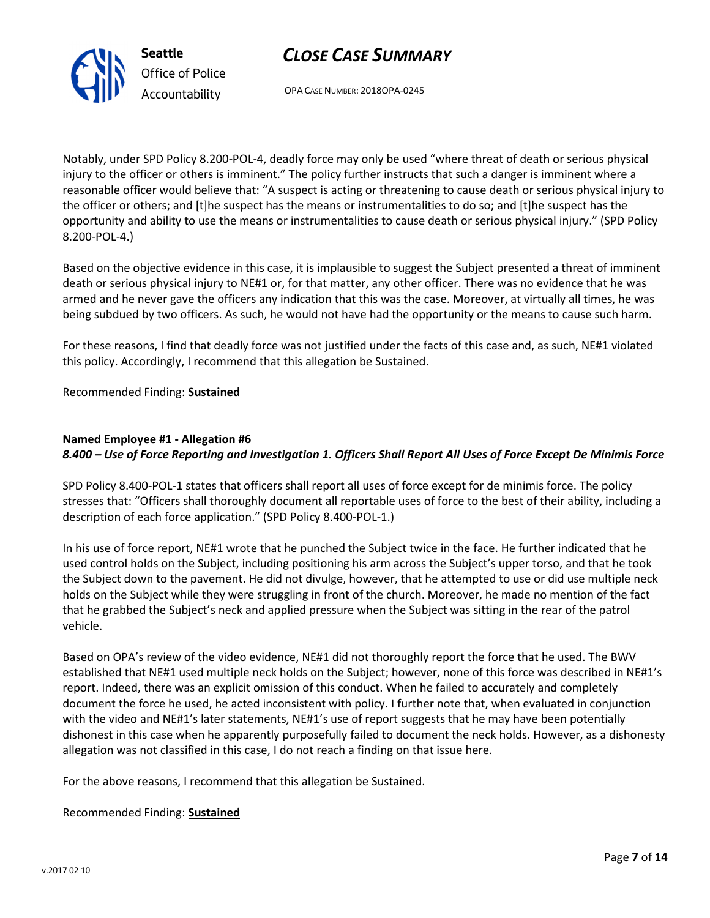OPA CASE NUMBER: 2018OPA-0245

Notably, under SPD Policy 8.200-POL-4, deadly force may only be used "where threat of death or serious physical injury to the officer or others is imminent." The policy further instructs that such a danger is imminent where a reasonable officer would believe that: "A suspect is acting or threatening to cause death or serious physical injury to the officer or others; and [t]he suspect has the means or instrumentalities to do so; and [t]he suspect has the opportunity and ability to use the means or instrumentalities to cause death or serious physical injury." (SPD Policy 8.200-POL-4.)

Based on the objective evidence in this case, it is implausible to suggest the Subject presented a threat of imminent death or serious physical injury to NE#1 or, for that matter, any other officer. There was no evidence that he was armed and he never gave the officers any indication that this was the case. Moreover, at virtually all times, he was being subdued by two officers. As such, he would not have had the opportunity or the means to cause such harm.

For these reasons, I find that deadly force was not justified under the facts of this case and, as such, NE#1 violated this policy. Accordingly, I recommend that this allegation be Sustained.

Recommended Finding: Sustained

### Named Employee #1 - Allegation #6

### 8.400 – Use of Force Reporting and Investigation 1. Officers Shall Report All Uses of Force Except De Minimis Force

SPD Policy 8.400-POL-1 states that officers shall report all uses of force except for de minimis force. The policy stresses that: "Officers shall thoroughly document all reportable uses of force to the best of their ability, including a description of each force application." (SPD Policy 8.400-POL-1.)

In his use of force report, NE#1 wrote that he punched the Subject twice in the face. He further indicated that he used control holds on the Subject, including positioning his arm across the Subject's upper torso, and that he took the Subject down to the pavement. He did not divulge, however, that he attempted to use or did use multiple neck holds on the Subject while they were struggling in front of the church. Moreover, he made no mention of the fact that he grabbed the Subject's neck and applied pressure when the Subject was sitting in the rear of the patrol vehicle.

Based on OPA's review of the video evidence, NE#1 did not thoroughly report the force that he used. The BWV established that NE#1 used multiple neck holds on the Subject; however, none of this force was described in NE#1's report. Indeed, there was an explicit omission of this conduct. When he failed to accurately and completely document the force he used, he acted inconsistent with policy. I further note that, when evaluated in conjunction with the video and NE#1's later statements, NE#1's use of report suggests that he may have been potentially dishonest in this case when he apparently purposefully failed to document the neck holds. However, as a dishonesty allegation was not classified in this case, I do not reach a finding on that issue here.

For the above reasons, I recommend that this allegation be Sustained.

Recommended Finding: **Sustained** 



Seattle Office of Police Accountability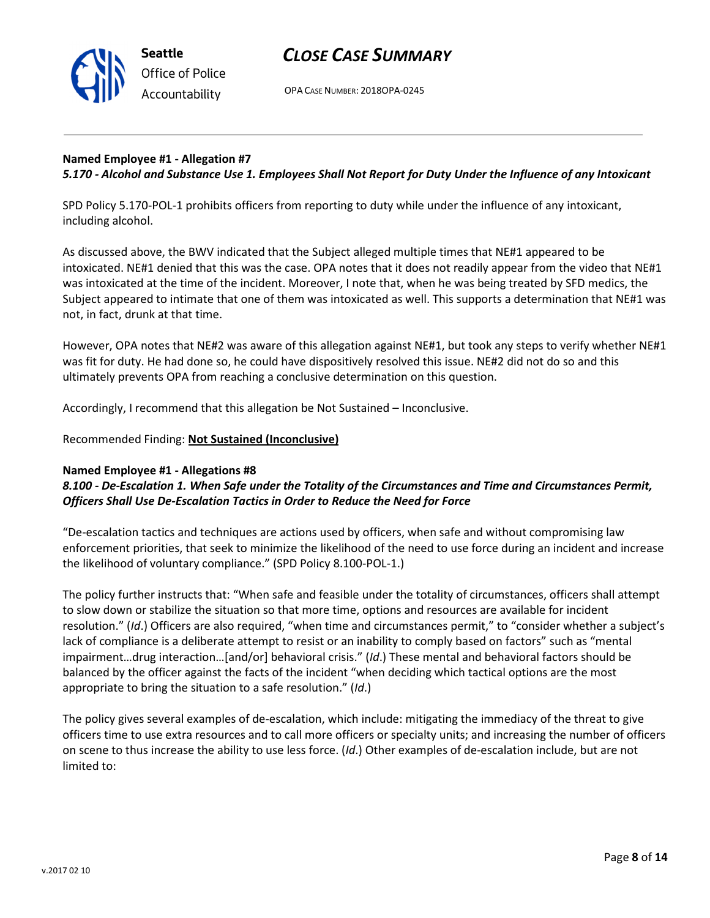

OPA CASE NUMBER: 2018OPA-0245

#### Named Employee #1 - Allegation #7 5.170 - Alcohol and Substance Use 1. Employees Shall Not Report for Duty Under the Influence of any Intoxicant

SPD Policy 5.170-POL-1 prohibits officers from reporting to duty while under the influence of any intoxicant, including alcohol.

As discussed above, the BWV indicated that the Subject alleged multiple times that NE#1 appeared to be intoxicated. NE#1 denied that this was the case. OPA notes that it does not readily appear from the video that NE#1 was intoxicated at the time of the incident. Moreover, I note that, when he was being treated by SFD medics, the Subject appeared to intimate that one of them was intoxicated as well. This supports a determination that NE#1 was not, in fact, drunk at that time.

However, OPA notes that NE#2 was aware of this allegation against NE#1, but took any steps to verify whether NE#1 was fit for duty. He had done so, he could have dispositively resolved this issue. NE#2 did not do so and this ultimately prevents OPA from reaching a conclusive determination on this question.

Accordingly, I recommend that this allegation be Not Sustained – Inconclusive.

Recommended Finding: Not Sustained (Inconclusive)

#### Named Employee #1 - Allegations #8

#### 8.100 - De-Escalation 1. When Safe under the Totality of the Circumstances and Time and Circumstances Permit, Officers Shall Use De-Escalation Tactics in Order to Reduce the Need for Force

"De-escalation tactics and techniques are actions used by officers, when safe and without compromising law enforcement priorities, that seek to minimize the likelihood of the need to use force during an incident and increase the likelihood of voluntary compliance." (SPD Policy 8.100-POL-1.)

The policy further instructs that: "When safe and feasible under the totality of circumstances, officers shall attempt to slow down or stabilize the situation so that more time, options and resources are available for incident resolution." (Id.) Officers are also required, "when time and circumstances permit," to "consider whether a subject's lack of compliance is a deliberate attempt to resist or an inability to comply based on factors" such as "mental impairment…drug interaction…[and/or] behavioral crisis." (Id.) These mental and behavioral factors should be balanced by the officer against the facts of the incident "when deciding which tactical options are the most appropriate to bring the situation to a safe resolution." (Id.)

The policy gives several examples of de-escalation, which include: mitigating the immediacy of the threat to give officers time to use extra resources and to call more officers or specialty units; and increasing the number of officers on scene to thus increase the ability to use less force. (Id.) Other examples of de-escalation include, but are not limited to: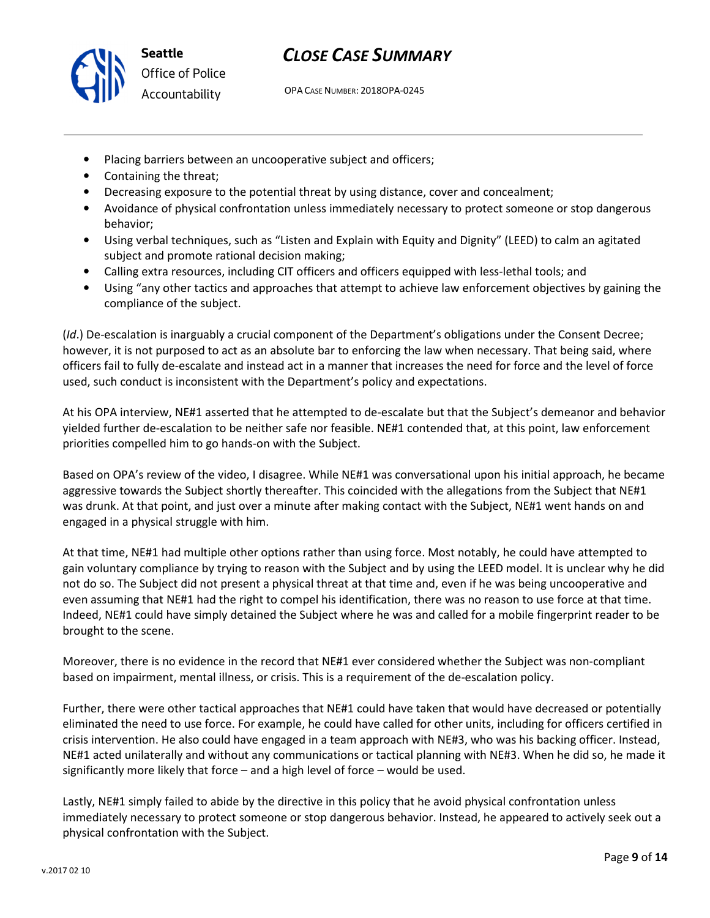

## CLOSE CASE SUMMARY

OPA CASE NUMBER: 2018OPA-0245

- Placing barriers between an uncooperative subject and officers;
- Containing the threat;
- Decreasing exposure to the potential threat by using distance, cover and concealment;
- Avoidance of physical confrontation unless immediately necessary to protect someone or stop dangerous behavior;
- Using verbal techniques, such as "Listen and Explain with Equity and Dignity" (LEED) to calm an agitated subject and promote rational decision making;
- Calling extra resources, including CIT officers and officers equipped with less-lethal tools; and
- Using "any other tactics and approaches that attempt to achieve law enforcement objectives by gaining the compliance of the subject.

(Id.) De-escalation is inarguably a crucial component of the Department's obligations under the Consent Decree; however, it is not purposed to act as an absolute bar to enforcing the law when necessary. That being said, where officers fail to fully de-escalate and instead act in a manner that increases the need for force and the level of force used, such conduct is inconsistent with the Department's policy and expectations.

At his OPA interview, NE#1 asserted that he attempted to de-escalate but that the Subject's demeanor and behavior yielded further de-escalation to be neither safe nor feasible. NE#1 contended that, at this point, law enforcement priorities compelled him to go hands-on with the Subject.

Based on OPA's review of the video, I disagree. While NE#1 was conversational upon his initial approach, he became aggressive towards the Subject shortly thereafter. This coincided with the allegations from the Subject that NE#1 was drunk. At that point, and just over a minute after making contact with the Subject, NE#1 went hands on and engaged in a physical struggle with him.

At that time, NE#1 had multiple other options rather than using force. Most notably, he could have attempted to gain voluntary compliance by trying to reason with the Subject and by using the LEED model. It is unclear why he did not do so. The Subject did not present a physical threat at that time and, even if he was being uncooperative and even assuming that NE#1 had the right to compel his identification, there was no reason to use force at that time. Indeed, NE#1 could have simply detained the Subject where he was and called for a mobile fingerprint reader to be brought to the scene.

Moreover, there is no evidence in the record that NE#1 ever considered whether the Subject was non-compliant based on impairment, mental illness, or crisis. This is a requirement of the de-escalation policy.

Further, there were other tactical approaches that NE#1 could have taken that would have decreased or potentially eliminated the need to use force. For example, he could have called for other units, including for officers certified in crisis intervention. He also could have engaged in a team approach with NE#3, who was his backing officer. Instead, NE#1 acted unilaterally and without any communications or tactical planning with NE#3. When he did so, he made it significantly more likely that force – and a high level of force – would be used.

Lastly, NE#1 simply failed to abide by the directive in this policy that he avoid physical confrontation unless immediately necessary to protect someone or stop dangerous behavior. Instead, he appeared to actively seek out a physical confrontation with the Subject.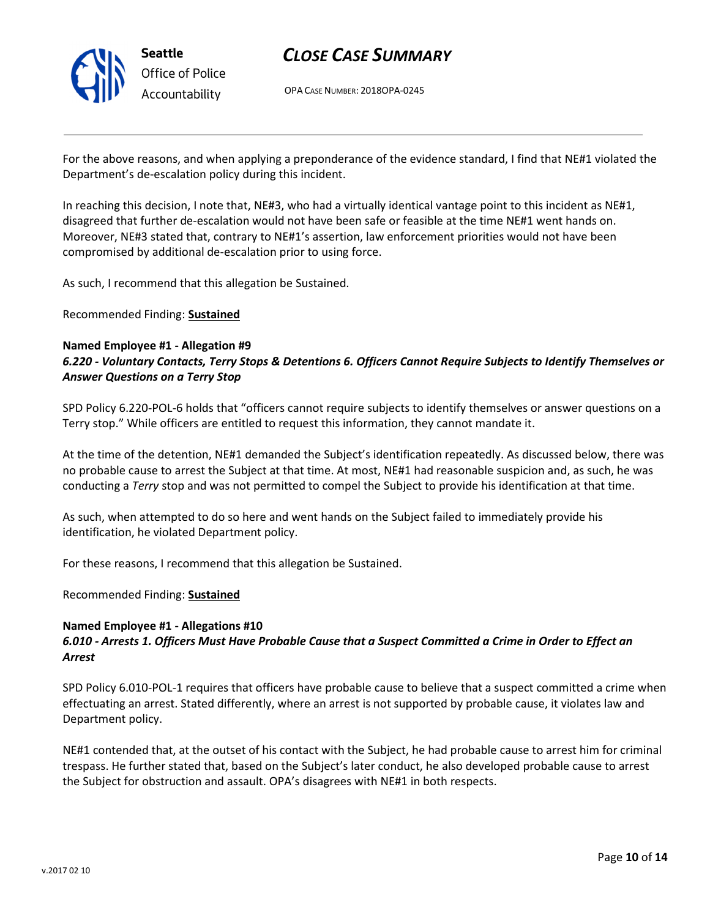

OPA CASE NUMBER: 2018OPA-0245

For the above reasons, and when applying a preponderance of the evidence standard, I find that NE#1 violated the Department's de-escalation policy during this incident.

In reaching this decision, I note that, NE#3, who had a virtually identical vantage point to this incident as NE#1, disagreed that further de-escalation would not have been safe or feasible at the time NE#1 went hands on. Moreover, NE#3 stated that, contrary to NE#1's assertion, law enforcement priorities would not have been compromised by additional de-escalation prior to using force.

As such, I recommend that this allegation be Sustained.

Recommended Finding: Sustained

#### Named Employee #1 - Allegation #9 6.220 - Voluntary Contacts, Terry Stops & Detentions 6. Officers Cannot Require Subjects to Identify Themselves or Answer Questions on a Terry Stop

SPD Policy 6.220-POL-6 holds that "officers cannot require subjects to identify themselves or answer questions on a Terry stop." While officers are entitled to request this information, they cannot mandate it.

At the time of the detention, NE#1 demanded the Subject's identification repeatedly. As discussed below, there was no probable cause to arrest the Subject at that time. At most, NE#1 had reasonable suspicion and, as such, he was conducting a Terry stop and was not permitted to compel the Subject to provide his identification at that time.

As such, when attempted to do so here and went hands on the Subject failed to immediately provide his identification, he violated Department policy.

For these reasons, I recommend that this allegation be Sustained.

Recommended Finding: Sustained

#### Named Employee #1 - Allegations #10 6.010 - Arrests 1. Officers Must Have Probable Cause that a Suspect Committed a Crime in Order to Effect an Arrest

SPD Policy 6.010-POL-1 requires that officers have probable cause to believe that a suspect committed a crime when effectuating an arrest. Stated differently, where an arrest is not supported by probable cause, it violates law and Department policy.

NE#1 contended that, at the outset of his contact with the Subject, he had probable cause to arrest him for criminal trespass. He further stated that, based on the Subject's later conduct, he also developed probable cause to arrest the Subject for obstruction and assault. OPA's disagrees with NE#1 in both respects.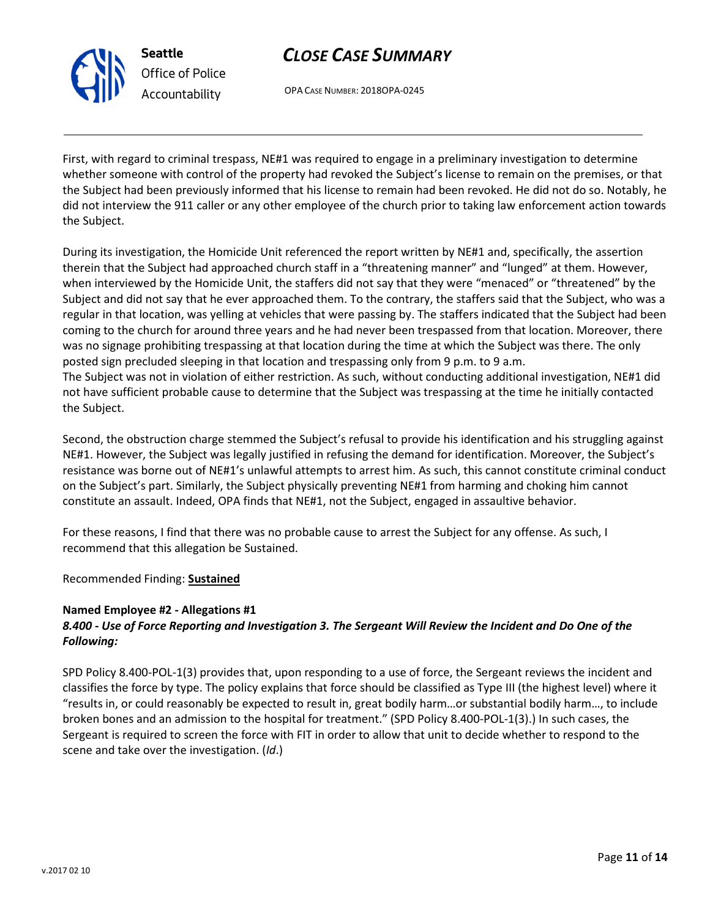

## CLOSE CASE SUMMARY

OPA CASE NUMBER: 2018OPA-0245

First, with regard to criminal trespass, NE#1 was required to engage in a preliminary investigation to determine whether someone with control of the property had revoked the Subject's license to remain on the premises, or that the Subject had been previously informed that his license to remain had been revoked. He did not do so. Notably, he did not interview the 911 caller or any other employee of the church prior to taking law enforcement action towards the Subject.

During its investigation, the Homicide Unit referenced the report written by NE#1 and, specifically, the assertion therein that the Subject had approached church staff in a "threatening manner" and "lunged" at them. However, when interviewed by the Homicide Unit, the staffers did not say that they were "menaced" or "threatened" by the Subject and did not say that he ever approached them. To the contrary, the staffers said that the Subject, who was a regular in that location, was yelling at vehicles that were passing by. The staffers indicated that the Subject had been coming to the church for around three years and he had never been trespassed from that location. Moreover, there was no signage prohibiting trespassing at that location during the time at which the Subject was there. The only posted sign precluded sleeping in that location and trespassing only from 9 p.m. to 9 a.m. The Subject was not in violation of either restriction. As such, without conducting additional investigation, NE#1 did not have sufficient probable cause to determine that the Subject was trespassing at the time he initially contacted the Subject.

Second, the obstruction charge stemmed the Subject's refusal to provide his identification and his struggling against NE#1. However, the Subject was legally justified in refusing the demand for identification. Moreover, the Subject's resistance was borne out of NE#1's unlawful attempts to arrest him. As such, this cannot constitute criminal conduct on the Subject's part. Similarly, the Subject physically preventing NE#1 from harming and choking him cannot constitute an assault. Indeed, OPA finds that NE#1, not the Subject, engaged in assaultive behavior.

For these reasons, I find that there was no probable cause to arrest the Subject for any offense. As such, I recommend that this allegation be Sustained.

Recommended Finding: Sustained

#### Named Employee #2 - Allegations #1

#### 8.400 - Use of Force Reporting and Investigation 3. The Sergeant Will Review the Incident and Do One of the Following:

SPD Policy 8.400-POL-1(3) provides that, upon responding to a use of force, the Sergeant reviews the incident and classifies the force by type. The policy explains that force should be classified as Type III (the highest level) where it "results in, or could reasonably be expected to result in, great bodily harm…or substantial bodily harm…, to include broken bones and an admission to the hospital for treatment." (SPD Policy 8.400-POL-1(3).) In such cases, the Sergeant is required to screen the force with FIT in order to allow that unit to decide whether to respond to the scene and take over the investigation. (Id.)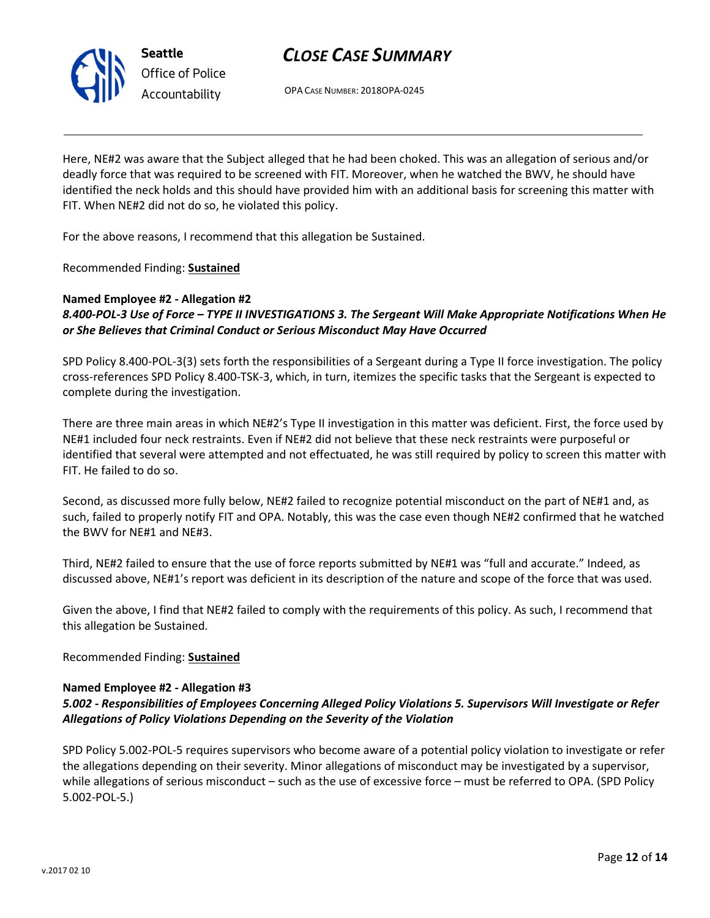

OPA CASE NUMBER: 2018OPA-0245

Here, NE#2 was aware that the Subject alleged that he had been choked. This was an allegation of serious and/or deadly force that was required to be screened with FIT. Moreover, when he watched the BWV, he should have identified the neck holds and this should have provided him with an additional basis for screening this matter with FIT. When NE#2 did not do so, he violated this policy.

For the above reasons, I recommend that this allegation be Sustained.

Recommended Finding: Sustained

#### Named Employee #2 - Allegation #2 8.400-POL-3 Use of Force – TYPE II INVESTIGATIONS 3. The Sergeant Will Make Appropriate Notifications When He or She Believes that Criminal Conduct or Serious Misconduct May Have Occurred

SPD Policy 8.400-POL-3(3) sets forth the responsibilities of a Sergeant during a Type II force investigation. The policy cross-references SPD Policy 8.400-TSK-3, which, in turn, itemizes the specific tasks that the Sergeant is expected to complete during the investigation.

There are three main areas in which NE#2's Type II investigation in this matter was deficient. First, the force used by NE#1 included four neck restraints. Even if NE#2 did not believe that these neck restraints were purposeful or identified that several were attempted and not effectuated, he was still required by policy to screen this matter with FIT. He failed to do so.

Second, as discussed more fully below, NE#2 failed to recognize potential misconduct on the part of NE#1 and, as such, failed to properly notify FIT and OPA. Notably, this was the case even though NE#2 confirmed that he watched the BWV for NE#1 and NE#3.

Third, NE#2 failed to ensure that the use of force reports submitted by NE#1 was "full and accurate." Indeed, as discussed above, NE#1's report was deficient in its description of the nature and scope of the force that was used.

Given the above, I find that NE#2 failed to comply with the requirements of this policy. As such, I recommend that this allegation be Sustained.

#### Recommended Finding: Sustained

#### Named Employee #2 - Allegation #3

#### 5.002 - Responsibilities of Employees Concerning Alleged Policy Violations 5. Supervisors Will Investigate or Refer Allegations of Policy Violations Depending on the Severity of the Violation

SPD Policy 5.002-POL-5 requires supervisors who become aware of a potential policy violation to investigate or refer the allegations depending on their severity. Minor allegations of misconduct may be investigated by a supervisor, while allegations of serious misconduct – such as the use of excessive force – must be referred to OPA. (SPD Policy 5.002-POL-5.)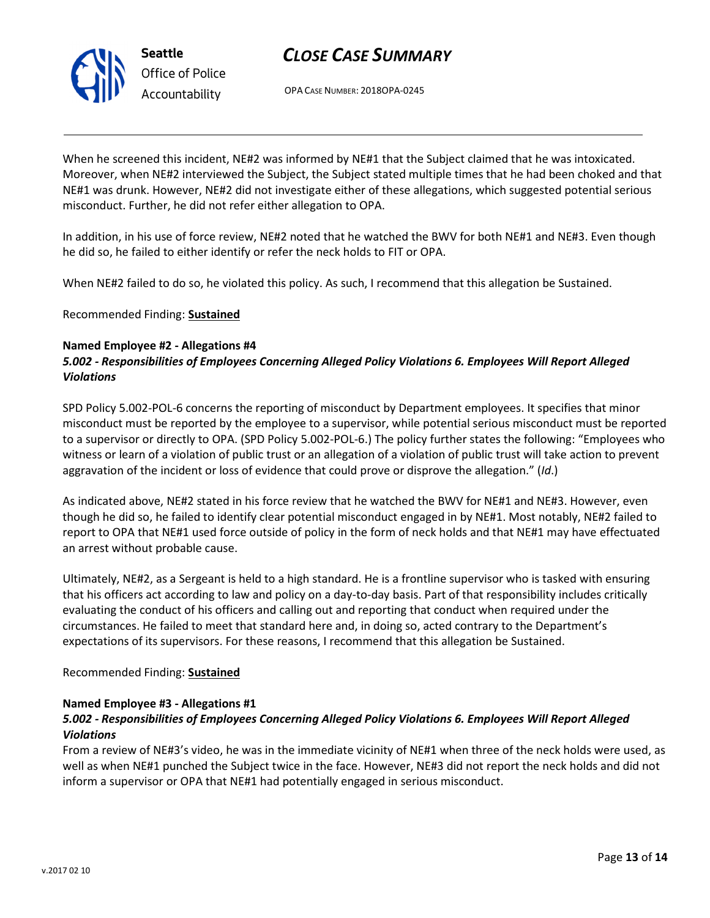

OPA CASE NUMBER: 2018OPA-0245

When he screened this incident, NE#2 was informed by NE#1 that the Subject claimed that he was intoxicated. Moreover, when NE#2 interviewed the Subject, the Subject stated multiple times that he had been choked and that NE#1 was drunk. However, NE#2 did not investigate either of these allegations, which suggested potential serious misconduct. Further, he did not refer either allegation to OPA.

In addition, in his use of force review, NE#2 noted that he watched the BWV for both NE#1 and NE#3. Even though he did so, he failed to either identify or refer the neck holds to FIT or OPA.

When NE#2 failed to do so, he violated this policy. As such, I recommend that this allegation be Sustained.

Recommended Finding: **Sustained** 

#### Named Employee #2 - Allegations #4

#### 5.002 - Responsibilities of Employees Concerning Alleged Policy Violations 6. Employees Will Report Alleged Violations

SPD Policy 5.002-POL-6 concerns the reporting of misconduct by Department employees. It specifies that minor misconduct must be reported by the employee to a supervisor, while potential serious misconduct must be reported to a supervisor or directly to OPA. (SPD Policy 5.002-POL-6.) The policy further states the following: "Employees who witness or learn of a violation of public trust or an allegation of a violation of public trust will take action to prevent aggravation of the incident or loss of evidence that could prove or disprove the allegation." (Id.)

As indicated above, NE#2 stated in his force review that he watched the BWV for NE#1 and NE#3. However, even though he did so, he failed to identify clear potential misconduct engaged in by NE#1. Most notably, NE#2 failed to report to OPA that NE#1 used force outside of policy in the form of neck holds and that NE#1 may have effectuated an arrest without probable cause.

Ultimately, NE#2, as a Sergeant is held to a high standard. He is a frontline supervisor who is tasked with ensuring that his officers act according to law and policy on a day-to-day basis. Part of that responsibility includes critically evaluating the conduct of his officers and calling out and reporting that conduct when required under the circumstances. He failed to meet that standard here and, in doing so, acted contrary to the Department's expectations of its supervisors. For these reasons, I recommend that this allegation be Sustained.

#### Recommended Finding: Sustained

#### Named Employee #3 - Allegations #1

#### 5.002 - Responsibilities of Employees Concerning Alleged Policy Violations 6. Employees Will Report Alleged Violations

From a review of NE#3's video, he was in the immediate vicinity of NE#1 when three of the neck holds were used, as well as when NE#1 punched the Subject twice in the face. However, NE#3 did not report the neck holds and did not inform a supervisor or OPA that NE#1 had potentially engaged in serious misconduct.